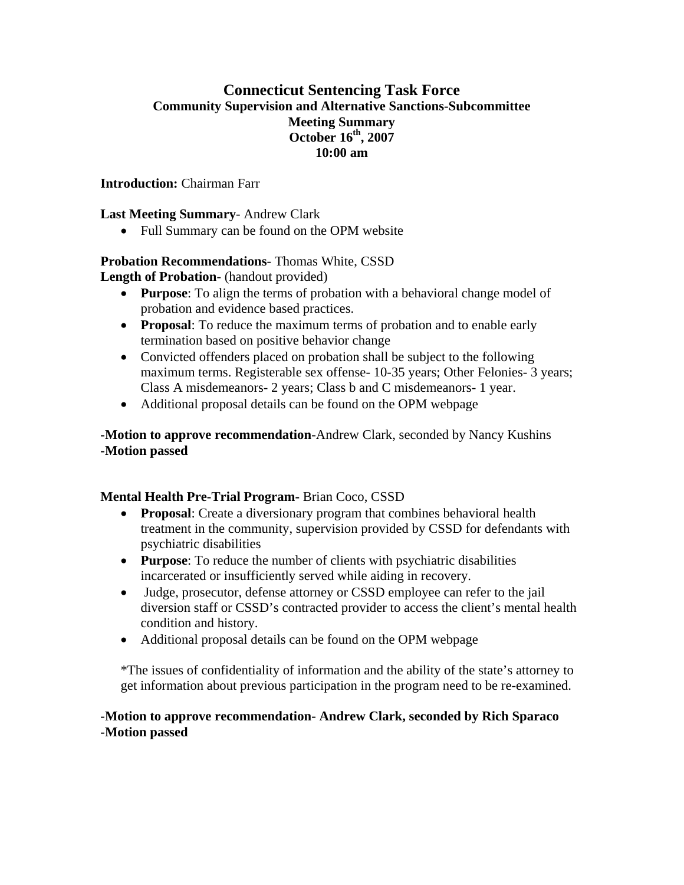# **Connecticut Sentencing Task Force Community Supervision and Alternative Sanctions-Subcommittee Meeting Summary October 16th, 2007 10:00 am**

**Introduction:** Chairman Farr

#### **Last Meeting Summary**- Andrew Clark

• Full Summary can be found on the OPM website

# **Probation Recommendations**- Thomas White, CSSD

**Length of Probation**- (handout provided)

- **Purpose:** To align the terms of probation with a behavioral change model of probation and evidence based practices.
- **Proposal**: To reduce the maximum terms of probation and to enable early termination based on positive behavior change
- Convicted offenders placed on probation shall be subject to the following maximum terms. Registerable sex offense- 10-35 years; Other Felonies- 3 years; Class A misdemeanors- 2 years; Class b and C misdemeanors- 1 year.
- Additional proposal details can be found on the OPM webpage

**-Motion to approve recommendation**-Andrew Clark, seconded by Nancy Kushins **-Motion passed** 

#### **Mental Health Pre-Trial Program-** Brian Coco, CSSD

- **Proposal:** Create a diversionary program that combines behavioral health treatment in the community, supervision provided by CSSD for defendants with psychiatric disabilities
- **Purpose**: To reduce the number of clients with psychiatric disabilities incarcerated or insufficiently served while aiding in recovery.
- Judge, prosecutor, defense attorney or CSSD employee can refer to the jail diversion staff or CSSD's contracted provider to access the client's mental health condition and history.
- Additional proposal details can be found on the OPM webpage

\*The issues of confidentiality of information and the ability of the state's attorney to get information about previous participation in the program need to be re-examined.

#### **-Motion to approve recommendation- Andrew Clark, seconded by Rich Sparaco -Motion passed**